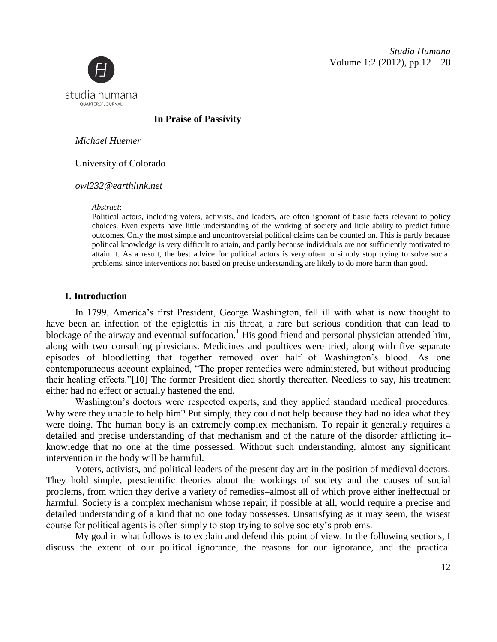*Studia Humana* Volume 1:2 (2012), pp.12—28



**In Praise of Passivity**

*Michael Huemer*

University of Colorado

*owl232@earthlink.net*

*Abstract*:

Political actors, including voters, activists, and leaders, are often ignorant of basic facts relevant to policy choices. Even experts have little understanding of the working of society and little ability to predict future outcomes. Only the most simple and uncontroversial political claims can be counted on. This is partly because political knowledge is very difficult to attain, and partly because individuals are not sufficiently motivated to attain it. As a result, the best advice for political actors is very often to simply stop trying to solve social problems, since interventions not based on precise understanding are likely to do more harm than good.

## **1. Introduction**

In 1799, America's first President, George Washington, fell ill with what is now thought to have been an infection of the epiglottis in his throat, a rare but serious condition that can lead to blockage of the airway and eventual suffocation.<sup>1</sup> His good friend and personal physician attended him, along with two consulting physicians. Medicines and poultices were tried, along with five separate episodes of bloodletting that together removed over half of Washington's blood. As one contemporaneous account explained, "The proper remedies were administered, but without producing their healing effects."[10] The former President died shortly thereafter. Needless to say, his treatment either had no effect or actually hastened the end.

Washington's doctors were respected experts, and they applied standard medical procedures. Why were they unable to help him? Put simply, they could not help because they had no idea what they were doing. The human body is an extremely complex mechanism. To repair it generally requires a detailed and precise understanding of that mechanism and of the nature of the disorder afflicting it– knowledge that no one at the time possessed. Without such understanding, almost any significant intervention in the body will be harmful.

Voters, activists, and political leaders of the present day are in the position of medieval doctors. They hold simple, prescientific theories about the workings of society and the causes of social problems, from which they derive a variety of remedies–almost all of which prove either ineffectual or harmful. Society is a complex mechanism whose repair, if possible at all, would require a precise and detailed understanding of a kind that no one today possesses. Unsatisfying as it may seem, the wisest course for political agents is often simply to stop trying to solve society's problems.

My goal in what follows is to explain and defend this point of view. In the following sections, I discuss the extent of our political ignorance, the reasons for our ignorance, and the practical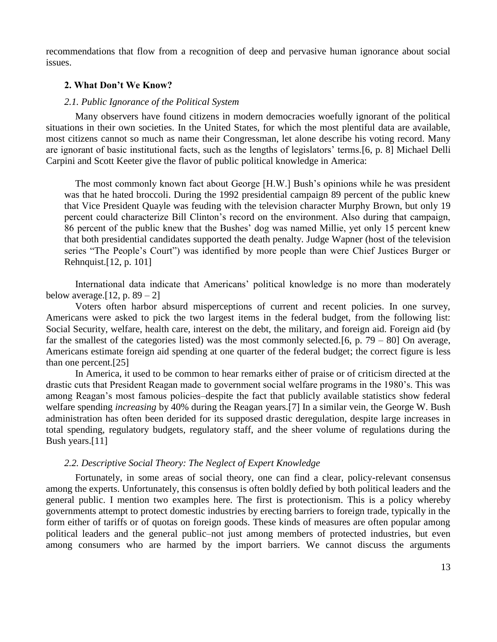recommendations that flow from a recognition of deep and pervasive human ignorance about social issues.

# **2. What Don't We Know?**

#### *2.1. Public Ignorance of the Political System*

Many observers have found citizens in modern democracies woefully ignorant of the political situations in their own societies. In the United States, for which the most plentiful data are available, most citizens cannot so much as name their Congressman, let alone describe his voting record. Many are ignorant of basic institutional facts, such as the lengths of legislators' terms.[6, p. 8] Michael Delli Carpini and Scott Keeter give the flavor of public political knowledge in America:

The most commonly known fact about George [H.W.] Bush's opinions while he was president was that he hated broccoli. During the 1992 presidential campaign 89 percent of the public knew that Vice President Quayle was feuding with the television character Murphy Brown, but only 19 percent could characterize Bill Clinton's record on the environment. Also during that campaign, 86 percent of the public knew that the Bushes' dog was named Millie, yet only 15 percent knew that both presidential candidates supported the death penalty. Judge Wapner (host of the television series "The People's Court") was identified by more people than were Chief Justices Burger or Rehnquist.[12, p. 101]

International data indicate that Americans' political knowledge is no more than moderately below average.  $[12, p. 89 - 2]$ 

Voters often harbor absurd misperceptions of current and recent policies. In one survey, Americans were asked to pick the two largest items in the federal budget, from the following list: Social Security, welfare, health care, interest on the debt, the military, and foreign aid. Foreign aid (by far the smallest of the categories listed) was the most commonly selected.[6, p.  $79 - 80$ ] On average, Americans estimate foreign aid spending at one quarter of the federal budget; the correct figure is less than one percent.[25]

In America, it used to be common to hear remarks either of praise or of criticism directed at the drastic cuts that President Reagan made to government social welfare programs in the 1980's. This was among Reagan's most famous policies–despite the fact that publicly available statistics show federal welfare spending *increasing* by 40% during the Reagan years.[7] In a similar vein, the George W. Bush administration has often been derided for its supposed drastic deregulation, despite large increases in total spending, regulatory budgets, regulatory staff, and the sheer volume of regulations during the Bush years.[11]

### *2.2. Descriptive Social Theory: The Neglect of Expert Knowledge*

Fortunately, in some areas of social theory, one can find a clear, policy-relevant consensus among the experts. Unfortunately, this consensus is often boldly defied by both political leaders and the general public. I mention two examples here. The first is protectionism. This is a policy whereby governments attempt to protect domestic industries by erecting barriers to foreign trade, typically in the form either of tariffs or of quotas on foreign goods. These kinds of measures are often popular among political leaders and the general public–not just among members of protected industries, but even among consumers who are harmed by the import barriers. We cannot discuss the arguments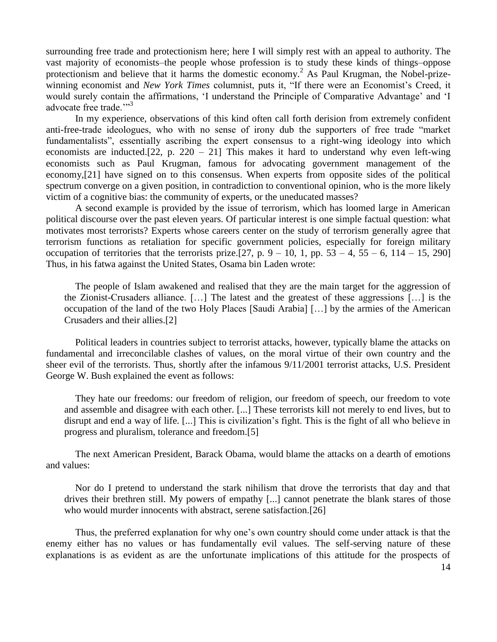surrounding free trade and protectionism here; here I will simply rest with an appeal to authority. The vast majority of economists–the people whose profession is to study these kinds of things–oppose protectionism and believe that it harms the domestic economy.<sup>2</sup> As Paul Krugman, the Nobel-prizewinning economist and *New York Times* columnist, puts it, "If there were an Economist's Creed, it would surely contain the affirmations, 'I understand the Principle of Comparative Advantage' and 'I advocate free trade."<sup>3</sup>

In my experience, observations of this kind often call forth derision from extremely confident anti-free-trade ideologues, who with no sense of irony dub the supporters of free trade "market fundamentalists", essentially ascribing the expert consensus to a right-wing ideology into which economists are inducted.  $[22, p. 220 - 21]$  This makes it hard to understand why even left-wing economists such as Paul Krugman, famous for advocating government management of the economy,[21] have signed on to this consensus. When experts from opposite sides of the political spectrum converge on a given position, in contradiction to conventional opinion, who is the more likely victim of a cognitive bias: the community of experts, or the uneducated masses?

A second example is provided by the issue of terrorism, which has loomed large in American political discourse over the past eleven years. Of particular interest is one simple factual question: what motivates most terrorists? Experts whose careers center on the study of terrorism generally agree that terrorism functions as retaliation for specific government policies, especially for foreign military occupation of territories that the terrorists prize.[27, p.  $9 - 10$ , 1, pp.  $53 - 4$ ,  $55 - 6$ ,  $114 - 15$ , 290] Thus, in his fatwa against the United States, Osama bin Laden wrote:

The people of Islam awakened and realised that they are the main target for the aggression of the Zionist-Crusaders alliance. […] The latest and the greatest of these aggressions […] is the occupation of the land of the two Holy Places [Saudi Arabia] […] by the armies of the American Crusaders and their allies.[2]

Political leaders in countries subject to terrorist attacks, however, typically blame the attacks on fundamental and irreconcilable clashes of values, on the moral virtue of their own country and the sheer evil of the terrorists. Thus, shortly after the infamous 9/11/2001 terrorist attacks, U.S. President George W. Bush explained the event as follows:

They hate our freedoms: our freedom of religion, our freedom of speech, our freedom to vote and assemble and disagree with each other. [...] These terrorists kill not merely to end lives, but to disrupt and end a way of life. [...] This is civilization's fight. This is the fight of all who believe in progress and pluralism, tolerance and freedom.[5]

The next American President, Barack Obama, would blame the attacks on a dearth of emotions and values:

Nor do I pretend to understand the stark nihilism that drove the terrorists that day and that drives their brethren still. My powers of empathy [...] cannot penetrate the blank stares of those who would murder innocents with abstract, serene satisfaction.[26]

Thus, the preferred explanation for why one's own country should come under attack is that the enemy either has no values or has fundamentally evil values. The self-serving nature of these explanations is as evident as are the unfortunate implications of this attitude for the prospects of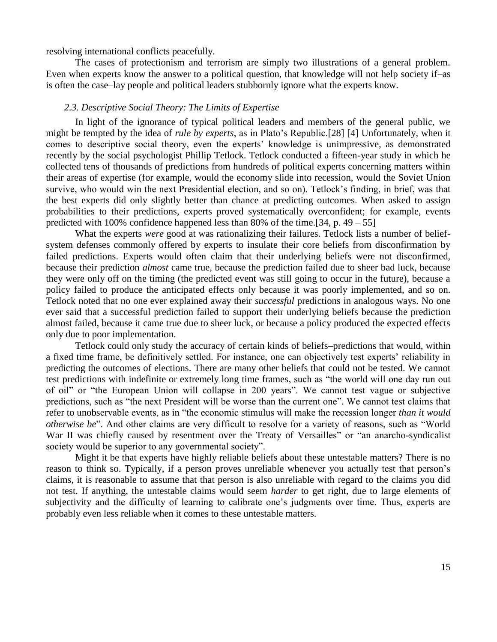resolving international conflicts peacefully.

The cases of protectionism and terrorism are simply two illustrations of a general problem. Even when experts know the answer to a political question, that knowledge will not help society if–as is often the case–lay people and political leaders stubbornly ignore what the experts know.

## *2.3. Descriptive Social Theory: The Limits of Expertise*

In light of the ignorance of typical political leaders and members of the general public, we might be tempted by the idea of *rule by experts*, as in Plato's Republic.[28] [4] Unfortunately, when it comes to descriptive social theory, even the experts' knowledge is unimpressive, as demonstrated recently by the social psychologist Phillip Tetlock. Tetlock conducted a fifteen-year study in which he collected tens of thousands of predictions from hundreds of political experts concerning matters within their areas of expertise (for example, would the economy slide into recession, would the Soviet Union survive, who would win the next Presidential election, and so on). Tetlock's finding, in brief, was that the best experts did only slightly better than chance at predicting outcomes. When asked to assign probabilities to their predictions, experts proved systematically overconfident; for example, events predicted with 100% confidence happened less than 80% of the time. [34, p.  $49 - 55$ ]

What the experts *were* good at was rationalizing their failures. Tetlock lists a number of beliefsystem defenses commonly offered by experts to insulate their core beliefs from disconfirmation by failed predictions. Experts would often claim that their underlying beliefs were not disconfirmed, because their prediction *almost* came true, because the prediction failed due to sheer bad luck, because they were only off on the timing (the predicted event was still going to occur in the future), because a policy failed to produce the anticipated effects only because it was poorly implemented, and so on. Tetlock noted that no one ever explained away their *successful* predictions in analogous ways. No one ever said that a successful prediction failed to support their underlying beliefs because the prediction almost failed, because it came true due to sheer luck, or because a policy produced the expected effects only due to poor implementation.

Tetlock could only study the accuracy of certain kinds of beliefs–predictions that would, within a fixed time frame, be definitively settled. For instance, one can objectively test experts' reliability in predicting the outcomes of elections. There are many other beliefs that could not be tested. We cannot test predictions with indefinite or extremely long time frames, such as "the world will one day run out of oil" or "the European Union will collapse in 200 years". We cannot test vague or subjective predictions, such as "the next President will be worse than the current one". We cannot test claims that refer to unobservable events, as in "the economic stimulus will make the recession longer *than it would otherwise be*". And other claims are very difficult to resolve for a variety of reasons, such as "World War II was chiefly caused by resentment over the Treaty of Versailles" or "an anarcho-syndicalist society would be superior to any governmental society".

Might it be that experts have highly reliable beliefs about these untestable matters? There is no reason to think so. Typically, if a person proves unreliable whenever you actually test that person's claims, it is reasonable to assume that that person is also unreliable with regard to the claims you did not test. If anything, the untestable claims would seem *harder* to get right, due to large elements of subjectivity and the difficulty of learning to calibrate one's judgments over time. Thus, experts are probably even less reliable when it comes to these untestable matters.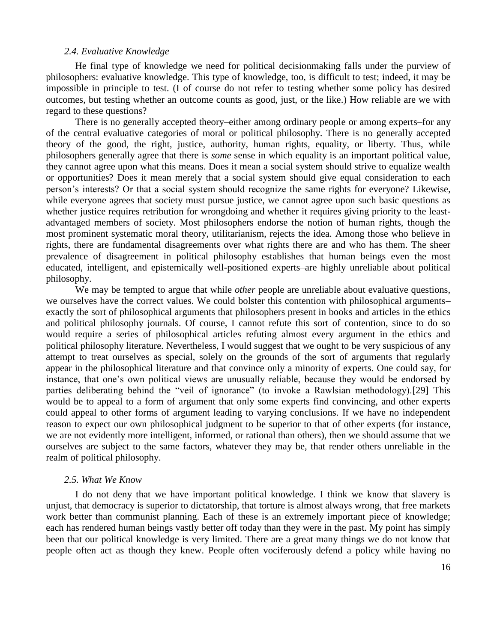## *2.4. Evaluative Knowledge*

He final type of knowledge we need for political decisionmaking falls under the purview of philosophers: evaluative knowledge. This type of knowledge, too, is difficult to test; indeed, it may be impossible in principle to test. (I of course do not refer to testing whether some policy has desired outcomes, but testing whether an outcome counts as good, just, or the like.) How reliable are we with regard to these questions?

There is no generally accepted theory–either among ordinary people or among experts–for any of the central evaluative categories of moral or political philosophy. There is no generally accepted theory of the good, the right, justice, authority, human rights, equality, or liberty. Thus, while philosophers generally agree that there is *some* sense in which equality is an important political value, they cannot agree upon what this means. Does it mean a social system should strive to equalize wealth or opportunities? Does it mean merely that a social system should give equal consideration to each person's interests? Or that a social system should recognize the same rights for everyone? Likewise, while everyone agrees that society must pursue justice, we cannot agree upon such basic questions as whether justice requires retribution for wrongdoing and whether it requires giving priority to the leastadvantaged members of society. Most philosophers endorse the notion of human rights, though the most prominent systematic moral theory, utilitarianism, rejects the idea. Among those who believe in rights, there are fundamental disagreements over what rights there are and who has them. The sheer prevalence of disagreement in political philosophy establishes that human beings–even the most educated, intelligent, and epistemically well-positioned experts–are highly unreliable about political philosophy.

We may be tempted to argue that while *other* people are unreliable about evaluative questions, we ourselves have the correct values. We could bolster this contention with philosophical arguments– exactly the sort of philosophical arguments that philosophers present in books and articles in the ethics and political philosophy journals. Of course, I cannot refute this sort of contention, since to do so would require a series of philosophical articles refuting almost every argument in the ethics and political philosophy literature. Nevertheless, I would suggest that we ought to be very suspicious of any attempt to treat ourselves as special, solely on the grounds of the sort of arguments that regularly appear in the philosophical literature and that convince only a minority of experts. One could say, for instance, that one's own political views are unusually reliable, because they would be endorsed by parties deliberating behind the "veil of ignorance" (to invoke a Rawlsian methodology).[29] This would be to appeal to a form of argument that only some experts find convincing, and other experts could appeal to other forms of argument leading to varying conclusions. If we have no independent reason to expect our own philosophical judgment to be superior to that of other experts (for instance, we are not evidently more intelligent, informed, or rational than others), then we should assume that we ourselves are subject to the same factors, whatever they may be, that render others unreliable in the realm of political philosophy.

### *2.5. What We Know*

I do not deny that we have important political knowledge. I think we know that slavery is unjust, that democracy is superior to dictatorship, that torture is almost always wrong, that free markets work better than communist planning. Each of these is an extremely important piece of knowledge; each has rendered human beings vastly better off today than they were in the past. My point has simply been that our political knowledge is very limited. There are a great many things we do not know that people often act as though they knew. People often vociferously defend a policy while having no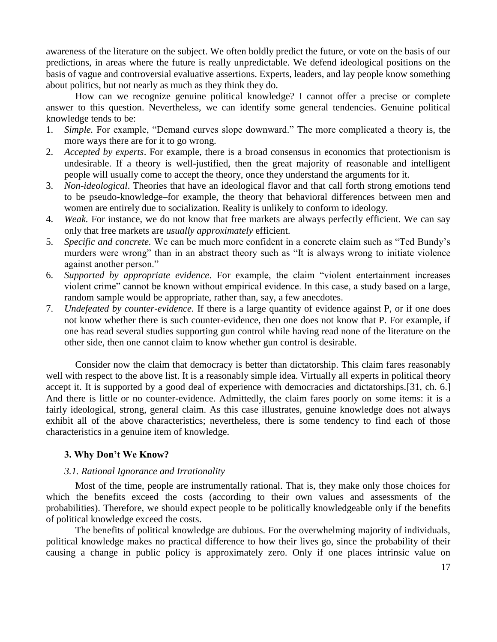awareness of the literature on the subject. We often boldly predict the future, or vote on the basis of our predictions, in areas where the future is really unpredictable. We defend ideological positions on the basis of vague and controversial evaluative assertions. Experts, leaders, and lay people know something about politics, but not nearly as much as they think they do.

How can we recognize genuine political knowledge? I cannot offer a precise or complete answer to this question. Nevertheless, we can identify some general tendencies. Genuine political knowledge tends to be:

- 1. *Simple.* For example, "Demand curves slope downward." The more complicated a theory is, the more ways there are for it to go wrong.
- 2. *Accepted by experts*. For example, there is a broad consensus in economics that protectionism is undesirable. If a theory is well-justified, then the great majority of reasonable and intelligent people will usually come to accept the theory, once they understand the arguments for it.
- 3. *Non-ideological*. Theories that have an ideological flavor and that call forth strong emotions tend to be pseudo-knowledge–for example, the theory that behavioral differences between men and women are entirely due to socialization. Reality is unlikely to conform to ideology.
- 4. *Weak.* For instance, we do not know that free markets are always perfectly efficient. We can say only that free markets are *usually approximately* efficient.
- 5. *Specific and concrete.* We can be much more confident in a concrete claim such as "Ted Bundy's murders were wrong" than in an abstract theory such as "It is always wrong to initiate violence against another person."
- 6. *Supported by appropriate evidence*. For example, the claim "violent entertainment increases violent crime" cannot be known without empirical evidence. In this case, a study based on a large, random sample would be appropriate, rather than, say, a few anecdotes.
- 7. *Undefeated by counter-evidence.* If there is a large quantity of evidence against P, or if one does not know whether there is such counter-evidence, then one does not know that P. For example, if one has read several studies supporting gun control while having read none of the literature on the other side, then one cannot claim to know whether gun control is desirable.

Consider now the claim that democracy is better than dictatorship. This claim fares reasonably well with respect to the above list. It is a reasonably simple idea. Virtually all experts in political theory accept it. It is supported by a good deal of experience with democracies and dictatorships.[31, ch. 6.] And there is little or no counter-evidence. Admittedly, the claim fares poorly on some items: it is a fairly ideological, strong, general claim. As this case illustrates, genuine knowledge does not always exhibit all of the above characteristics; nevertheless, there is some tendency to find each of those characteristics in a genuine item of knowledge.

# **3. Why Don't We Know?**

# *3.1. Rational Ignorance and Irrationality*

Most of the time, people are instrumentally rational. That is, they make only those choices for which the benefits exceed the costs (according to their own values and assessments of the probabilities). Therefore, we should expect people to be politically knowledgeable only if the benefits of political knowledge exceed the costs.

The benefits of political knowledge are dubious. For the overwhelming majority of individuals, political knowledge makes no practical difference to how their lives go, since the probability of their causing a change in public policy is approximately zero. Only if one places intrinsic value on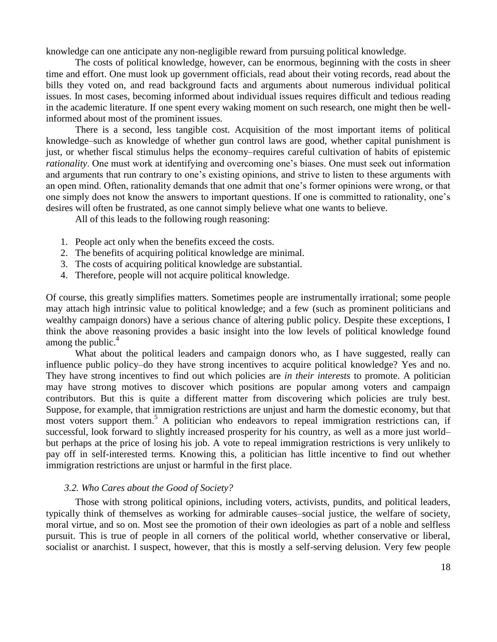knowledge can one anticipate any non-negligible reward from pursuing political knowledge.

The costs of political knowledge, however, can be enormous, beginning with the costs in sheer time and effort. One must look up government officials, read about their voting records, read about the bills they voted on, and read background facts and arguments about numerous individual political issues. In most cases, becoming informed about individual issues requires difficult and tedious reading in the academic literature. If one spent every waking moment on such research, one might then be wellinformed about most of the prominent issues.

There is a second, less tangible cost. Acquisition of the most important items of political knowledge–such as knowledge of whether gun control laws are good, whether capital punishment is just, or whether fiscal stimulus helps the economy–requires careful cultivation of habits of epistemic *rationality*. One must work at identifying and overcoming one's biases. One must seek out information and arguments that run contrary to one's existing opinions, and strive to listen to these arguments with an open mind. Often, rationality demands that one admit that one's former opinions were wrong, or that one simply does not know the answers to important questions. If one is committed to rationality, one's desires will often be frustrated, as one cannot simply believe what one wants to believe.

All of this leads to the following rough reasoning:

- 1. People act only when the benefits exceed the costs.
- 2. The benefits of acquiring political knowledge are minimal.
- 3. The costs of acquiring political knowledge are substantial.
- 4. Therefore, people will not acquire political knowledge.

Of course, this greatly simplifies matters. Sometimes people are instrumentally irrational; some people may attach high intrinsic value to political knowledge; and a few (such as prominent politicians and wealthy campaign donors) have a serious chance of altering public policy. Despite these exceptions, I think the above reasoning provides a basic insight into the low levels of political knowledge found among the public. $4$ 

What about the political leaders and campaign donors who, as I have suggested, really can influence public policy–do they have strong incentives to acquire political knowledge? Yes and no. They have strong incentives to find out which policies are *in their interests* to promote. A politician may have strong motives to discover which positions are popular among voters and campaign contributors. But this is quite a different matter from discovering which policies are truly best. Suppose, for example, that immigration restrictions are unjust and harm the domestic economy, but that most voters support them.<sup>5</sup> A politician who endeavors to repeal immigration restrictions can, if successful, look forward to slightly increased prosperity for his country, as well as a more just world– but perhaps at the price of losing his job. A vote to repeal immigration restrictions is very unlikely to pay off in self-interested terms. Knowing this, a politician has little incentive to find out whether immigration restrictions are unjust or harmful in the first place.

#### *3.2. Who Cares about the Good of Society?*

Those with strong political opinions, including voters, activists, pundits, and political leaders, typically think of themselves as working for admirable causes–social justice, the welfare of society, moral virtue, and so on. Most see the promotion of their own ideologies as part of a noble and selfless pursuit. This is true of people in all corners of the political world, whether conservative or liberal, socialist or anarchist. I suspect, however, that this is mostly a self-serving delusion. Very few people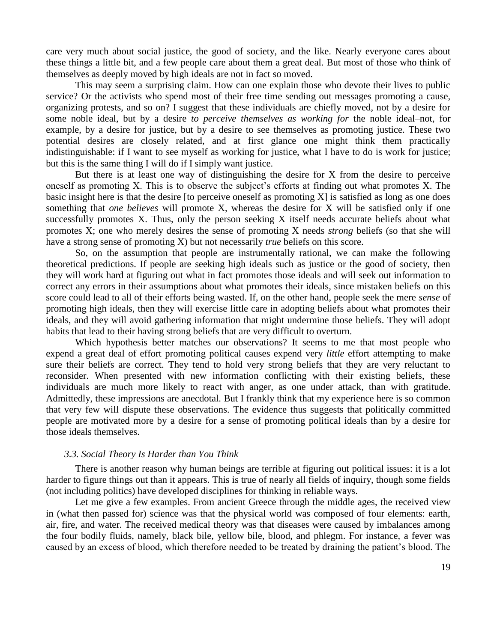care very much about social justice, the good of society, and the like. Nearly everyone cares about these things a little bit, and a few people care about them a great deal. But most of those who think of themselves as deeply moved by high ideals are not in fact so moved.

This may seem a surprising claim. How can one explain those who devote their lives to public service? Or the activists who spend most of their free time sending out messages promoting a cause, organizing protests, and so on? I suggest that these individuals are chiefly moved, not by a desire for some noble ideal, but by a desire *to perceive themselves as working for* the noble ideal–not, for example, by a desire for justice, but by a desire to see themselves as promoting justice. These two potential desires are closely related, and at first glance one might think them practically indistinguishable: if I want to see myself as working for justice, what I have to do is work for justice; but this is the same thing I will do if I simply want justice.

But there is at least one way of distinguishing the desire for X from the desire to perceive oneself as promoting X. This is to observe the subject's efforts at finding out what promotes X. The basic insight here is that the desire [to perceive oneself as promoting  $X$ ] is satisfied as long as one does something that *one believes* will promote X, whereas the desire for X will be satisfied only if one successfully promotes X. Thus, only the person seeking X itself needs accurate beliefs about what promotes X; one who merely desires the sense of promoting X needs *strong* beliefs (so that she will have a strong sense of promoting X) but not necessarily *true* beliefs on this score.

So, on the assumption that people are instrumentally rational, we can make the following theoretical predictions. If people are seeking high ideals such as justice or the good of society, then they will work hard at figuring out what in fact promotes those ideals and will seek out information to correct any errors in their assumptions about what promotes their ideals, since mistaken beliefs on this score could lead to all of their efforts being wasted. If, on the other hand, people seek the mere *sense* of promoting high ideals, then they will exercise little care in adopting beliefs about what promotes their ideals, and they will avoid gathering information that might undermine those beliefs. They will adopt habits that lead to their having strong beliefs that are very difficult to overturn.

Which hypothesis better matches our observations? It seems to me that most people who expend a great deal of effort promoting political causes expend very *little* effort attempting to make sure their beliefs are correct. They tend to hold very strong beliefs that they are very reluctant to reconsider. When presented with new information conflicting with their existing beliefs, these individuals are much more likely to react with anger, as one under attack, than with gratitude. Admittedly, these impressions are anecdotal. But I frankly think that my experience here is so common that very few will dispute these observations. The evidence thus suggests that politically committed people are motivated more by a desire for a sense of promoting political ideals than by a desire for those ideals themselves.

### *3.3. Social Theory Is Harder than You Think*

There is another reason why human beings are terrible at figuring out political issues: it is a lot harder to figure things out than it appears. This is true of nearly all fields of inquiry, though some fields (not including politics) have developed disciplines for thinking in reliable ways.

Let me give a few examples. From ancient Greece through the middle ages, the received view in (what then passed for) science was that the physical world was composed of four elements: earth, air, fire, and water. The received medical theory was that diseases were caused by imbalances among the four bodily fluids, namely, black bile, yellow bile, blood, and phlegm. For instance, a fever was caused by an excess of blood, which therefore needed to be treated by draining the patient's blood. The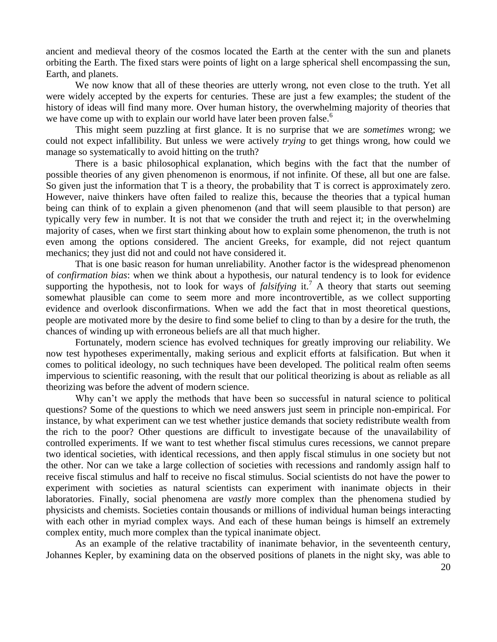ancient and medieval theory of the cosmos located the Earth at the center with the sun and planets orbiting the Earth. The fixed stars were points of light on a large spherical shell encompassing the sun, Earth, and planets.

We now know that all of these theories are utterly wrong, not even close to the truth. Yet all were widely accepted by the experts for centuries. These are just a few examples; the student of the history of ideas will find many more. Over human history, the overwhelming majority of theories that we have come up with to explain our world have later been proven false.<sup>6</sup>

This might seem puzzling at first glance. It is no surprise that we are *sometimes* wrong; we could not expect infallibility. But unless we were actively *trying* to get things wrong, how could we manage so systematically to avoid hitting on the truth?

There is a basic philosophical explanation, which begins with the fact that the number of possible theories of any given phenomenon is enormous, if not infinite. Of these, all but one are false. So given just the information that T is a theory, the probability that T is correct is approximately zero. However, naive thinkers have often failed to realize this, because the theories that a typical human being can think of to explain a given phenomenon (and that will seem plausible to that person) are typically very few in number. It is not that we consider the truth and reject it; in the overwhelming majority of cases, when we first start thinking about how to explain some phenomenon, the truth is not even among the options considered. The ancient Greeks, for example, did not reject quantum mechanics; they just did not and could not have considered it.

That is one basic reason for human unreliability. Another factor is the widespread phenomenon of *confirmation bias*: when we think about a hypothesis, our natural tendency is to look for evidence supporting the hypothesis, not to look for ways of *falsifying* it.<sup>7</sup> A theory that starts out seeming somewhat plausible can come to seem more and more incontrovertible, as we collect supporting evidence and overlook disconfirmations. When we add the fact that in most theoretical questions, people are motivated more by the desire to find some belief to cling to than by a desire for the truth, the chances of winding up with erroneous beliefs are all that much higher.

Fortunately, modern science has evolved techniques for greatly improving our reliability. We now test hypotheses experimentally, making serious and explicit efforts at falsification. But when it comes to political ideology, no such techniques have been developed. The political realm often seems impervious to scientific reasoning, with the result that our political theorizing is about as reliable as all theorizing was before the advent of modern science.

Why can't we apply the methods that have been so successful in natural science to political questions? Some of the questions to which we need answers just seem in principle non-empirical. For instance, by what experiment can we test whether justice demands that society redistribute wealth from the rich to the poor? Other questions are difficult to investigate because of the unavailability of controlled experiments. If we want to test whether fiscal stimulus cures recessions, we cannot prepare two identical societies, with identical recessions, and then apply fiscal stimulus in one society but not the other. Nor can we take a large collection of societies with recessions and randomly assign half to receive fiscal stimulus and half to receive no fiscal stimulus. Social scientists do not have the power to experiment with societies as natural scientists can experiment with inanimate objects in their laboratories. Finally, social phenomena are *vastly* more complex than the phenomena studied by physicists and chemists. Societies contain thousands or millions of individual human beings interacting with each other in myriad complex ways. And each of these human beings is himself an extremely complex entity, much more complex than the typical inanimate object.

As an example of the relative tractability of inanimate behavior, in the seventeenth century, Johannes Kepler, by examining data on the observed positions of planets in the night sky, was able to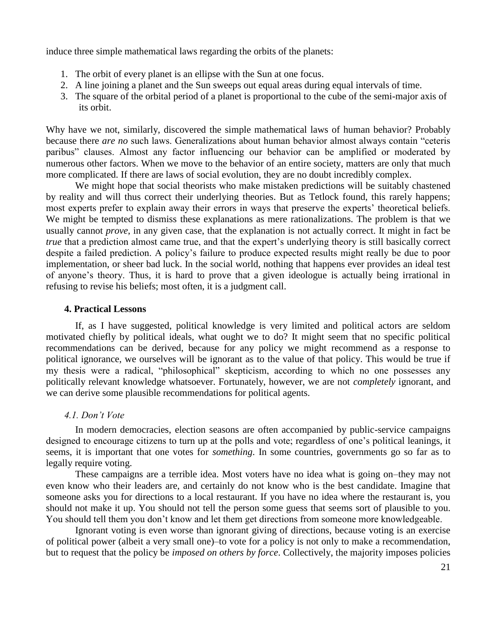induce three simple mathematical laws regarding the orbits of the planets:

- 1. The orbit of every planet is an ellipse with the Sun at one focus.
- 2. A line joining a planet and the Sun sweeps out equal areas during equal intervals of time.
- 3. The square of the orbital period of a planet is proportional to the cube of the semi-major axis of its orbit.

Why have we not, similarly, discovered the simple mathematical laws of human behavior? Probably because there *are no* such laws. Generalizations about human behavior almost always contain "ceteris paribus" clauses. Almost any factor influencing our behavior can be amplified or moderated by numerous other factors. When we move to the behavior of an entire society, matters are only that much more complicated. If there are laws of social evolution, they are no doubt incredibly complex.

We might hope that social theorists who make mistaken predictions will be suitably chastened by reality and will thus correct their underlying theories. But as Tetlock found, this rarely happens; most experts prefer to explain away their errors in ways that preserve the experts' theoretical beliefs. We might be tempted to dismiss these explanations as mere rationalizations. The problem is that we usually cannot *prove*, in any given case, that the explanation is not actually correct. It might in fact be *true* that a prediction almost came true, and that the expert's underlying theory is still basically correct despite a failed prediction. A policy's failure to produce expected results might really be due to poor implementation, or sheer bad luck. In the social world, nothing that happens ever provides an ideal test of anyone's theory. Thus, it is hard to prove that a given ideologue is actually being irrational in refusing to revise his beliefs; most often, it is a judgment call.

# **4. Practical Lessons**

If, as I have suggested, political knowledge is very limited and political actors are seldom motivated chiefly by political ideals, what ought we to do? It might seem that no specific political recommendations can be derived, because for any policy we might recommend as a response to political ignorance, we ourselves will be ignorant as to the value of that policy. This would be true if my thesis were a radical, "philosophical" skepticism, according to which no one possesses any politically relevant knowledge whatsoever. Fortunately, however, we are not *completely* ignorant, and we can derive some plausible recommendations for political agents.

# *4.1. Don't Vote*

In modern democracies, election seasons are often accompanied by public-service campaigns designed to encourage citizens to turn up at the polls and vote; regardless of one's political leanings, it seems, it is important that one votes for *something*. In some countries, governments go so far as to legally require voting.

These campaigns are a terrible idea. Most voters have no idea what is going on–they may not even know who their leaders are, and certainly do not know who is the best candidate. Imagine that someone asks you for directions to a local restaurant. If you have no idea where the restaurant is, you should not make it up. You should not tell the person some guess that seems sort of plausible to you. You should tell them you don't know and let them get directions from someone more knowledgeable.

Ignorant voting is even worse than ignorant giving of directions, because voting is an exercise of political power (albeit a very small one)–to vote for a policy is not only to make a recommendation, but to request that the policy be *imposed on others by force*. Collectively, the majority imposes policies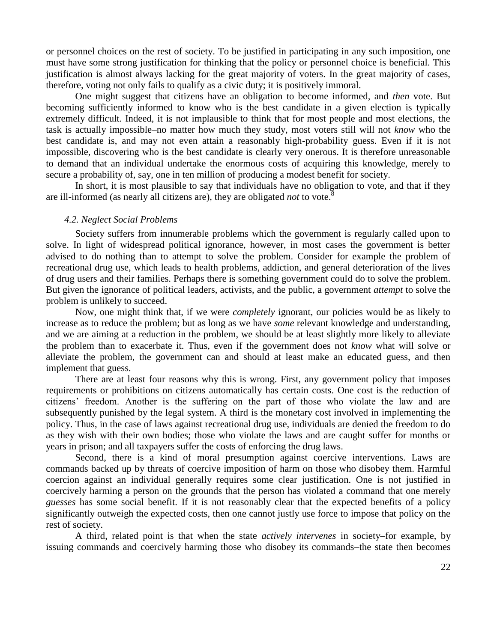or personnel choices on the rest of society. To be justified in participating in any such imposition, one must have some strong justification for thinking that the policy or personnel choice is beneficial. This justification is almost always lacking for the great majority of voters. In the great majority of cases, therefore, voting not only fails to qualify as a civic duty; it is positively immoral.

One might suggest that citizens have an obligation to become informed, and *then* vote. But becoming sufficiently informed to know who is the best candidate in a given election is typically extremely difficult. Indeed, it is not implausible to think that for most people and most elections, the task is actually impossible–no matter how much they study, most voters still will not *know* who the best candidate is, and may not even attain a reasonably high-probability guess. Even if it is not impossible, discovering who is the best candidate is clearly very onerous. It is therefore unreasonable to demand that an individual undertake the enormous costs of acquiring this knowledge, merely to secure a probability of, say, one in ten million of producing a modest benefit for society.

In short, it is most plausible to say that individuals have no obligation to vote, and that if they are ill-informed (as nearly all citizens are), they are obligated *not* to vote.<sup>8</sup>

### *4.2. Neglect Social Problems*

Society suffers from innumerable problems which the government is regularly called upon to solve. In light of widespread political ignorance, however, in most cases the government is better advised to do nothing than to attempt to solve the problem. Consider for example the problem of recreational drug use, which leads to health problems, addiction, and general deterioration of the lives of drug users and their families. Perhaps there is something government could do to solve the problem. But given the ignorance of political leaders, activists, and the public, a government *attempt* to solve the problem is unlikely to succeed.

Now, one might think that, if we were *completely* ignorant, our policies would be as likely to increase as to reduce the problem; but as long as we have *some* relevant knowledge and understanding, and we are aiming at a reduction in the problem, we should be at least slightly more likely to alleviate the problem than to exacerbate it. Thus, even if the government does not *know* what will solve or alleviate the problem, the government can and should at least make an educated guess, and then implement that guess.

There are at least four reasons why this is wrong. First, any government policy that imposes requirements or prohibitions on citizens automatically has certain costs. One cost is the reduction of citizens' freedom. Another is the suffering on the part of those who violate the law and are subsequently punished by the legal system. A third is the monetary cost involved in implementing the policy. Thus, in the case of laws against recreational drug use, individuals are denied the freedom to do as they wish with their own bodies; those who violate the laws and are caught suffer for months or years in prison; and all taxpayers suffer the costs of enforcing the drug laws.

Second, there is a kind of moral presumption against coercive interventions. Laws are commands backed up by threats of coercive imposition of harm on those who disobey them. Harmful coercion against an individual generally requires some clear justification. One is not justified in coercively harming a person on the grounds that the person has violated a command that one merely *guesses* has some social benefit. If it is not reasonably clear that the expected benefits of a policy significantly outweigh the expected costs, then one cannot justly use force to impose that policy on the rest of society.

A third, related point is that when the state *actively intervenes* in society–for example, by issuing commands and coercively harming those who disobey its commands–the state then becomes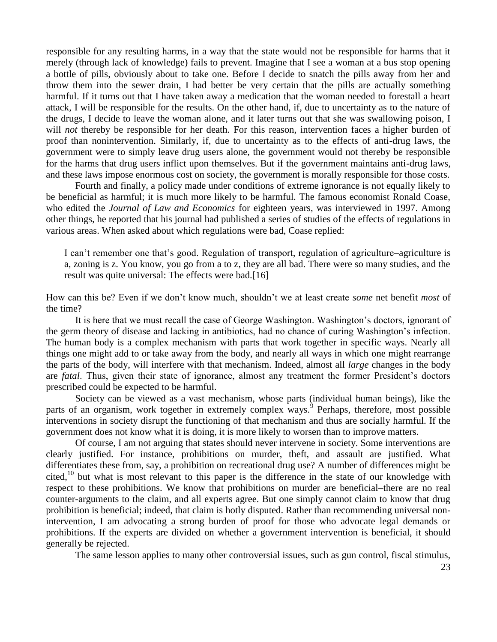responsible for any resulting harms, in a way that the state would not be responsible for harms that it merely (through lack of knowledge) fails to prevent. Imagine that I see a woman at a bus stop opening a bottle of pills, obviously about to take one. Before I decide to snatch the pills away from her and throw them into the sewer drain, I had better be very certain that the pills are actually something harmful. If it turns out that I have taken away a medication that the woman needed to forestall a heart attack, I will be responsible for the results. On the other hand, if, due to uncertainty as to the nature of the drugs, I decide to leave the woman alone, and it later turns out that she was swallowing poison, I will *not* thereby be responsible for her death. For this reason, intervention faces a higher burden of proof than nonintervention. Similarly, if, due to uncertainty as to the effects of anti-drug laws, the government were to simply leave drug users alone, the government would not thereby be responsible for the harms that drug users inflict upon themselves. But if the government maintains anti-drug laws, and these laws impose enormous cost on society, the government is morally responsible for those costs.

Fourth and finally, a policy made under conditions of extreme ignorance is not equally likely to be beneficial as harmful; it is much more likely to be harmful. The famous economist Ronald Coase, who edited the *Journal of Law and Economics* for eighteen years, was interviewed in 1997. Among other things, he reported that his journal had published a series of studies of the effects of regulations in various areas. When asked about which regulations were bad, Coase replied:

I can't remember one that's good. Regulation of transport, regulation of agriculture–agriculture is a, zoning is z. You know, you go from a to z, they are all bad. There were so many studies, and the result was quite universal: The effects were bad.[16]

How can this be? Even if we don't know much, shouldn't we at least create *some* net benefit *most* of the time?

It is here that we must recall the case of George Washington. Washington's doctors, ignorant of the germ theory of disease and lacking in antibiotics, had no chance of curing Washington's infection. The human body is a complex mechanism with parts that work together in specific ways. Nearly all things one might add to or take away from the body, and nearly all ways in which one might rearrange the parts of the body, will interfere with that mechanism. Indeed, almost all *large* changes in the body are *fatal*. Thus, given their state of ignorance, almost any treatment the former President's doctors prescribed could be expected to be harmful.

Society can be viewed as a vast mechanism, whose parts (individual human beings), like the parts of an organism, work together in extremely complex ways.<sup>9</sup> Perhaps, therefore, most possible interventions in society disrupt the functioning of that mechanism and thus are socially harmful. If the government does not know what it is doing, it is more likely to worsen than to improve matters.

Of course, I am not arguing that states should never intervene in society. Some interventions are clearly justified. For instance, prohibitions on murder, theft, and assault are justified. What differentiates these from, say, a prohibition on recreational drug use? A number of differences might be cited,<sup>10</sup> but what is most relevant to this paper is the difference in the state of our knowledge with respect to these prohibitions. We know that prohibitions on murder are beneficial–there are no real counter-arguments to the claim, and all experts agree. But one simply cannot claim to know that drug prohibition is beneficial; indeed, that claim is hotly disputed. Rather than recommending universal nonintervention, I am advocating a strong burden of proof for those who advocate legal demands or prohibitions. If the experts are divided on whether a government intervention is beneficial, it should generally be rejected.

The same lesson applies to many other controversial issues, such as gun control, fiscal stimulus,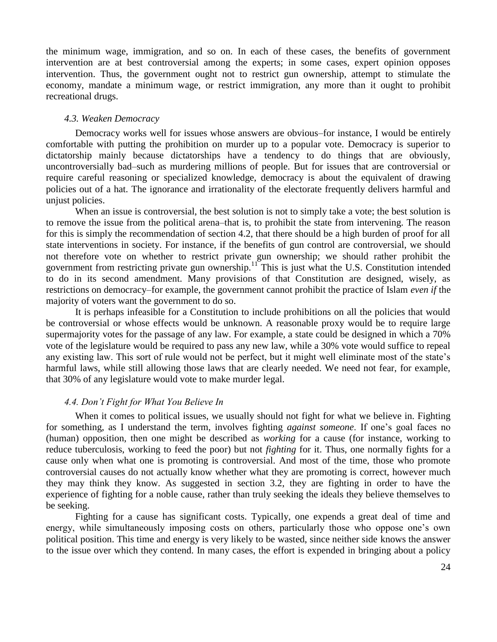the minimum wage, immigration, and so on. In each of these cases, the benefits of government intervention are at best controversial among the experts; in some cases, expert opinion opposes intervention. Thus, the government ought not to restrict gun ownership, attempt to stimulate the economy, mandate a minimum wage, or restrict immigration, any more than it ought to prohibit recreational drugs.

### *4.3. Weaken Democracy*

Democracy works well for issues whose answers are obvious–for instance, I would be entirely comfortable with putting the prohibition on murder up to a popular vote. Democracy is superior to dictatorship mainly because dictatorships have a tendency to do things that are obviously, uncontroversially bad–such as murdering millions of people. But for issues that are controversial or require careful reasoning or specialized knowledge, democracy is about the equivalent of drawing policies out of a hat. The ignorance and irrationality of the electorate frequently delivers harmful and unjust policies.

When an issue is controversial, the best solution is not to simply take a vote; the best solution is to remove the issue from the political arena–that is, to prohibit the state from intervening. The reason for this is simply the recommendation of section 4.2, that there should be a high burden of proof for all state interventions in society. For instance, if the benefits of gun control are controversial, we should not therefore vote on whether to restrict private gun ownership; we should rather prohibit the government from restricting private gun ownership.<sup>11</sup> This is just what the U.S. Constitution intended to do in its second amendment. Many provisions of that Constitution are designed, wisely, as restrictions on democracy–for example, the government cannot prohibit the practice of Islam *even if* the majority of voters want the government to do so.

It is perhaps infeasible for a Constitution to include prohibitions on all the policies that would be controversial or whose effects would be unknown. A reasonable proxy would be to require large supermajority votes for the passage of any law. For example, a state could be designed in which a 70% vote of the legislature would be required to pass any new law, while a 30% vote would suffice to repeal any existing law. This sort of rule would not be perfect, but it might well eliminate most of the state's harmful laws, while still allowing those laws that are clearly needed. We need not fear, for example, that 30% of any legislature would vote to make murder legal.

# *4.4. Don't Fight for What You Believe In*

When it comes to political issues, we usually should not fight for what we believe in. Fighting for something, as I understand the term, involves fighting *against someone*. If one's goal faces no (human) opposition, then one might be described as *working* for a cause (for instance, working to reduce tuberculosis, working to feed the poor) but not *fighting* for it. Thus, one normally fights for a cause only when what one is promoting is controversial. And most of the time, those who promote controversial causes do not actually know whether what they are promoting is correct, however much they may think they know. As suggested in section 3.2, they are fighting in order to have the experience of fighting for a noble cause, rather than truly seeking the ideals they believe themselves to be seeking.

Fighting for a cause has significant costs. Typically, one expends a great deal of time and energy, while simultaneously imposing costs on others, particularly those who oppose one's own political position. This time and energy is very likely to be wasted, since neither side knows the answer to the issue over which they contend. In many cases, the effort is expended in bringing about a policy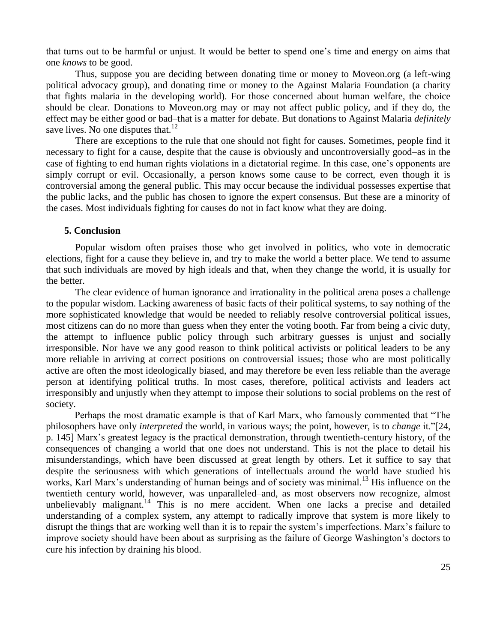that turns out to be harmful or unjust. It would be better to spend one's time and energy on aims that one *knows* to be good.

Thus, suppose you are deciding between donating time or money to Moveon.org (a left-wing political advocacy group), and donating time or money to the Against Malaria Foundation (a charity that fights malaria in the developing world). For those concerned about human welfare, the choice should be clear. Donations to Moveon.org may or may not affect public policy, and if they do, the effect may be either good or bad–that is a matter for debate. But donations to Against Malaria *definitely* save lives. No one disputes that.<sup>12</sup>

There are exceptions to the rule that one should not fight for causes. Sometimes, people find it necessary to fight for a cause, despite that the cause is obviously and uncontroversially good–as in the case of fighting to end human rights violations in a dictatorial regime. In this case, one's opponents are simply corrupt or evil. Occasionally, a person knows some cause to be correct, even though it is controversial among the general public. This may occur because the individual possesses expertise that the public lacks, and the public has chosen to ignore the expert consensus. But these are a minority of the cases. Most individuals fighting for causes do not in fact know what they are doing.

#### **5. Conclusion**

Popular wisdom often praises those who get involved in politics, who vote in democratic elections, fight for a cause they believe in, and try to make the world a better place. We tend to assume that such individuals are moved by high ideals and that, when they change the world, it is usually for the better.

The clear evidence of human ignorance and irrationality in the political arena poses a challenge to the popular wisdom. Lacking awareness of basic facts of their political systems, to say nothing of the more sophisticated knowledge that would be needed to reliably resolve controversial political issues, most citizens can do no more than guess when they enter the voting booth. Far from being a civic duty, the attempt to influence public policy through such arbitrary guesses is unjust and socially irresponsible. Nor have we any good reason to think political activists or political leaders to be any more reliable in arriving at correct positions on controversial issues; those who are most politically active are often the most ideologically biased, and may therefore be even less reliable than the average person at identifying political truths. In most cases, therefore, political activists and leaders act irresponsibly and unjustly when they attempt to impose their solutions to social problems on the rest of society.

Perhaps the most dramatic example is that of Karl Marx, who famously commented that "The philosophers have only *interpreted* the world, in various ways; the point, however, is to *change* it."[24, p. 145] Marx's greatest legacy is the practical demonstration, through twentieth-century history, of the consequences of changing a world that one does not understand. This is not the place to detail his misunderstandings, which have been discussed at great length by others. Let it suffice to say that despite the seriousness with which generations of intellectuals around the world have studied his works, Karl Marx's understanding of human beings and of society was minimal.<sup>13</sup> His influence on the twentieth century world, however, was unparalleled–and, as most observers now recognize, almost unbelievably malignant.<sup>14</sup> This is no mere accident. When one lacks a precise and detailed understanding of a complex system, any attempt to radically improve that system is more likely to disrupt the things that are working well than it is to repair the system's imperfections. Marx's failure to improve society should have been about as surprising as the failure of George Washington's doctors to cure his infection by draining his blood.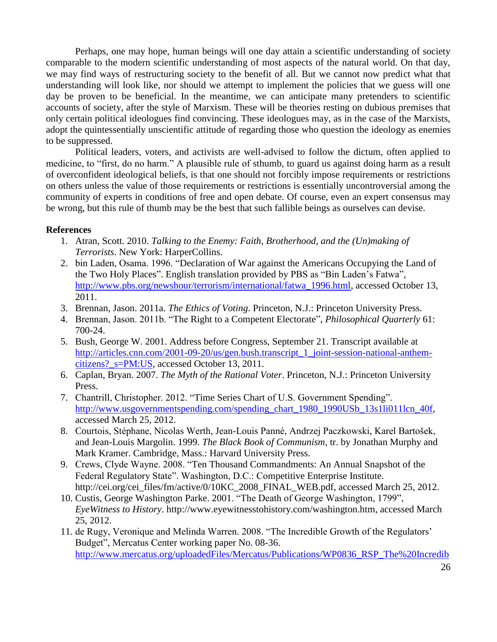Perhaps, one may hope, human beings will one day attain a scientific understanding of society comparable to the modern scientific understanding of most aspects of the natural world. On that day, we may find ways of restructuring society to the benefit of all. But we cannot now predict what that understanding will look like, nor should we attempt to implement the policies that we guess will one day be proven to be beneficial. In the meantime, we can anticipate many pretenders to scientific accounts of society, after the style of Marxism. These will be theories resting on dubious premises that only certain political ideologues find convincing. These ideologues may, as in the case of the Marxists, adopt the quintessentially unscientific attitude of regarding those who question the ideology as enemies to be suppressed.

Political leaders, voters, and activists are well-advised to follow the dictum, often applied to medicine, to "first, do no harm." A plausible rule of sthumb, to guard us against doing harm as a result of overconfident ideological beliefs, is that one should not forcibly impose requirements or restrictions on others unless the value of those requirements or restrictions is essentially uncontroversial among the community of experts in conditions of free and open debate. Of course, even an expert consensus may be wrong, but this rule of thumb may be the best that such fallible beings as ourselves can devise.

# **References**

- 1. Atran, Scott. 2010. *Talking to the Enemy: Faith, Brotherhood, and the (Un)making of Terrorists*. New York: HarperCollins.
- 2. bin Laden, Osama. 1996. "Declaration of War against the Americans Occupying the Land of the Two Holy Places". English translation provided by PBS as "Bin Laden's Fatwa", [http://www.pbs.org/newshour/terrorism/international/fatwa\\_1996.html,](http://www.pbs.org/newshour/terrorism/international/fatwa_1996.html) accessed October 13, 2011.
- 3. Brennan, Jason. 2011a. *The Ethics of Voting*. Princeton, N.J.: Princeton University Press.
- 4. Brennan, Jason. 2011b. "The Right to a Competent Electorate", *Philosophical Quarterly* 61: 700-24.
- 5. Bush, George W. 2001. Address before Congress, September 21. Transcript available at [http://articles.cnn.com/2001-09-20/us/gen.bush.transcript\\_1\\_joint-session-national-anthem](http://articles.cnn.com/2001-09-20/us/gen.bush.transcript_1_joint-session-national-anthem-citizens?_s=PM:US)[citizens?\\_s=PM:US,](http://articles.cnn.com/2001-09-20/us/gen.bush.transcript_1_joint-session-national-anthem-citizens?_s=PM:US) accessed October 13, 2011.
- 6. Caplan, Bryan. 2007. *The Myth of the Rational Voter*. Princeton, N.J.: Princeton University Press.
- 7. Chantrill, Christopher. 2012. "Time Series Chart of U.S. Government Spending". [http://www.usgovernmentspending.com/spending\\_chart\\_1980\\_1990USb\\_13s1li011lcn\\_40f,](http://www.usgovernmentspending.com/spending_chart_1980_1990USb_13s1li011lcn_40f) accessed March 25, 2012.
- 8. Courtois, Stéphane, Nicolas Werth, Jean-Louis Panné, Andrzej Paczkowski, Karel Bartošek, and Jean-Louis Margolin. 1999. *The Black Book of Communism*, tr. by Jonathan Murphy and Mark Kramer. Cambridge, Mass.: Harvard University Press.
- 9. Crews, Clyde Wayne. 2008. "Ten Thousand Commandments: An Annual Snapshot of the Federal Regulatory State". Washington, D.C.: Competitive Enterprise Institute. http://cei.org/cei\_files/fm/active/0/10KC\_2008\_FINAL\_WEB.pdf, accessed March 25, 2012.
- 10. Custis, George Washington Parke. 2001. "The Death of George Washington, 1799", *EyeWitness to History*. http://www.eyewitnesstohistory.com/washington.htm, accessed March 25, 2012.
- 11. de Rugy, Veronique and Melinda Warren. 2008. "The Incredible Growth of the Regulators' Budget", Mercatus Center working paper No. 08-36. [http://www.mercatus.org/uploadedFiles/Mercatus/Publications/WP0836\\_RSP\\_The%20Incredib](http://www.mercatus.org/uploadedFiles/Mercatus/Publications/WP0836_RSP_The%20Incredible%20Growth%20of%20the%20Regulators%27%20Budget.pdf)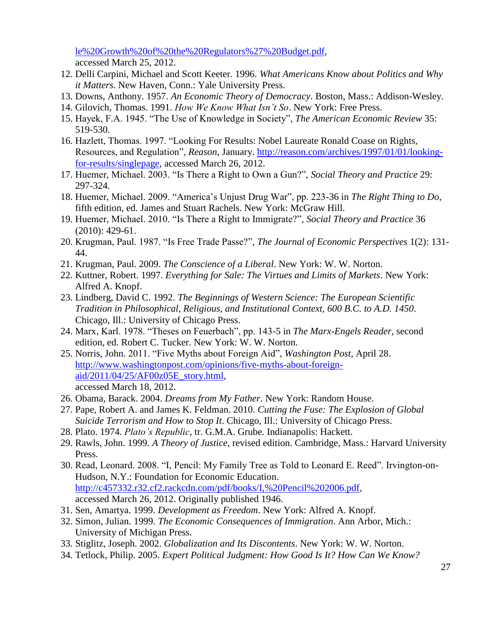le%20Growth%20of%20the%20Regulators%27%20Budget.pdf, accessed March 25, 2012.

- 12. Delli Carpini, Michael and Scott Keeter. 1996. *What Americans Know about Politics and Why it Matters*. New Haven, Conn.: Yale University Press.
- 13. Downs, Anthony. 1957. *An Economic Theory of Democracy*. Boston, Mass.: Addison-Wesley.
- 14. Gilovich, Thomas. 1991. *How We Know What Isn't So*. New York: Free Press.
- 15. Hayek, F.A. 1945. "The Use of Knowledge in Society", *The American Economic Review* 35: 519-530.
- 16. Hazlett, Thomas. 1997. "Looking For Results: Nobel Laureate Ronald Coase on Rights, Resources, and Regulation", *Reason*, January. [http://reason.com/archives/1997/01/01/looking](http://reason.com/archives/1997/01/01/looking-for-results/singlepage)[for-results/singlepage,](http://reason.com/archives/1997/01/01/looking-for-results/singlepage) accessed March 26, 2012.
- 17. Huemer, Michael. 2003. "Is There a Right to Own a Gun?", *Social Theory and Practice* 29: 297-324.
- 18. Huemer, Michael. 2009. "America's Unjust Drug War", pp. 223-36 in *The Right Thing to Do*, fifth edition, ed. James and Stuart Rachels. New York: McGraw Hill.
- 19. Huemer, Michael. 2010. "Is There a Right to Immigrate?", *Social Theory and Practice* 36 (2010): 429-61.
- 20. Krugman, Paul. 1987. "Is Free Trade Passe?", *The Journal of Economic Perspectives* 1(2): 131- 44.
- 21. Krugman, Paul. 2009. *The Conscience of a Liberal*. New York: W. W. Norton.
- 22. Kuttner, Robert. 1997. *Everything for Sale: The Virtues and Limits of Markets*. New York: Alfred A. Knopf.
- 23. Lindberg, David C. 1992. *The Beginnings of Western Science: The European Scientific Tradition in Philosophical, Religious, and Institutional Context, 600 B.C. to A.D. 1450*. Chicago, Ill.: University of Chicago Press.
- 24. Marx, Karl. 1978. "Theses on Feuerbach", pp. 143-5 in *The Marx-Engels Reader*, second edition, ed. Robert C. Tucker. New York: W. W. Norton.
- 25. Norris, John. 2011. "Five Myths about Foreign Aid", *Washington Post*, April 28. [http://www.washingtonpost.com/opinions/five-myths-about-foreign](http://www.washingtonpost.com/opinions/five-myths-about-foreign-aid/2011/04/25/AF00z05E_story.html)[aid/2011/04/25/AF00z05E\\_story.html,](http://www.washingtonpost.com/opinions/five-myths-about-foreign-aid/2011/04/25/AF00z05E_story.html) accessed March 18, 2012.
- 26. Obama, Barack. 2004. *Dreams from My Father*. New York: Random House.
- 27. Pape, Robert A. and James K. Feldman. 2010. *Cutting the Fuse: The Explosion of Global Suicide Terrorism and How to Stop It*. Chicago, Ill.: University of Chicago Press.
- 28. Plato. 1974. *Plato's Republic*, tr. G.M.A. Grube. Indianapolis: Hackett.
- 29. Rawls, John. 1999. *A Theory of Justice*, revised edition. Cambridge, Mass.: Harvard University Press.
- 30. Read, Leonard. 2008. "I, Pencil: My Family Tree as Told to Leonard E. Reed". Irvington-on-Hudson, N.Y.: Foundation for Economic Education. [http://c457332.r32.cf2.rackcdn.com/pdf/books/I,%20Pencil%202006.pdf,](http://c457332.r32.cf2.rackcdn.com/pdf/books/I,%20Pencil%202006.pdf) accessed March 26, 2012. Originally published 1946.
- 31. Sen, Amartya. 1999. *Development as Freedom*. New York: Alfred A. Knopf.
- 32. Simon, Julian. 1999. *The Economic Consequences of Immigration*. Ann Arbor, Mich.: University of Michigan Press.
- 33. Stiglitz, Joseph. 2002. *Globalization and Its Discontents*. New York: W. W. Norton.
- 34. Tetlock, Philip. 2005. *Expert Political Judgment: How Good Is It? How Can We Know?*